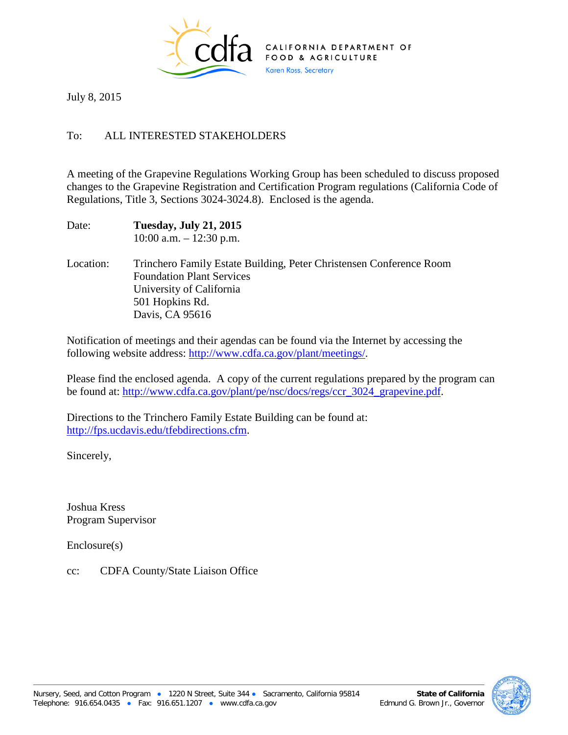

July 8, 2015

## To: ALL INTERESTED STAKEHOLDERS

A meeting of the Grapevine Regulations Working Group has been scheduled to discuss proposed changes to the Grapevine Registration and Certification Program regulations (California Code of Regulations, Title 3, Sections 3024-3024.8). Enclosed is the agenda.

- Date: **Tuesday, July 21, 2015** 10:00 a.m. – 12:30 p.m.
- Location: Trinchero Family Estate Building, Peter Christensen Conference Room Foundation Plant Services University of California 501 Hopkins Rd. Davis, CA 95616

Notification of meetings and their agendas can be found via the Internet by accessing the following website address: [http://www.cdfa.ca.gov/plant/meetings/.](http://www.cdfa.ca.gov/plant/meetings/)

Please find the enclosed agenda. A copy of the current regulations prepared by the program can be found at: [http://www.cdfa.ca.gov/plant/pe/nsc/docs/regs/ccr\\_3024\\_grapevine.pdf.](http://www.cdfa.ca.gov/plant/pe/nsc/docs/regs/ccr_3024_grapevine.pdf)

Directions to the Trinchero Family Estate Building can be found at: [http://fps.ucdavis.edu/tfebdirections.cfm.](http://fps.ucdavis.edu/tfebdirections.cfm)

Sincerely,

Joshua Kress Program Supervisor

Enclosure(s)

cc: CDFA County/State Liaison Office